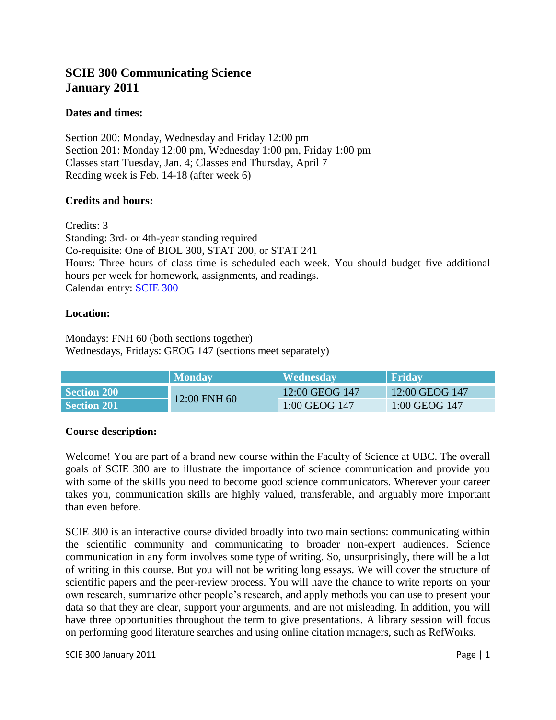# **SCIE 300 Communicating Science January 2011**

## **Dates and times:**

Section 200: Monday, Wednesday and Friday 12:00 pm Section 201: Monday 12:00 pm, Wednesday 1:00 pm, Friday 1:00 pm Classes start Tuesday, Jan. 4; Classes end Thursday, April 7 Reading week is Feb. 14-18 (after week 6)

### **Credits and hours:**

Credits: 3 Standing: 3rd- or 4th-year standing required Co-requisite: One of BIOL 300, STAT 200, or STAT 241 Hours: Three hours of class time is scheduled each week. You should budget five additional hours per week for homework, assignments, and readings. Calendar entry: [SCIE 300](https://courses.students.ubc.ca/cs/main?pname=subjarea&tname=subjareas&req=3&dept=SCIE&course=300)

### **Location:**

Mondays: FNH 60 (both sections together) Wednesdays, Fridays: GEOG 147 (sections meet separately)

|             | <b>Monday</b> | <b>Wednesday</b> | <b>Friday</b>  |
|-------------|---------------|------------------|----------------|
| Section 200 | 12:00 FNH 60  | 12:00 GEOG 147   | 12:00 GEOG 147 |
| Section 201 |               | 1:00 GEOG 147    | 1:00 GEOG 147  |

### **Course description:**

Welcome! You are part of a brand new course within the Faculty of Science at UBC. The overall goals of SCIE 300 are to illustrate the importance of science communication and provide you with some of the skills you need to become good science communicators. Wherever your career takes you, communication skills are highly valued, transferable, and arguably more important than even before.

SCIE 300 is an interactive course divided broadly into two main sections: communicating within the scientific community and communicating to broader non-expert audiences. Science communication in any form involves some type of writing. So, unsurprisingly, there will be a lot of writing in this course. But you will not be writing long essays. We will cover the structure of scientific papers and the peer-review process. You will have the chance to write reports on your own research, summarize other people's research, and apply methods you can use to present your data so that they are clear, support your arguments, and are not misleading. In addition, you will have three opportunities throughout the term to give presentations. A library session will focus on performing good literature searches and using online citation managers, such as RefWorks.

SCIE 300 January 2011 **Page | 1**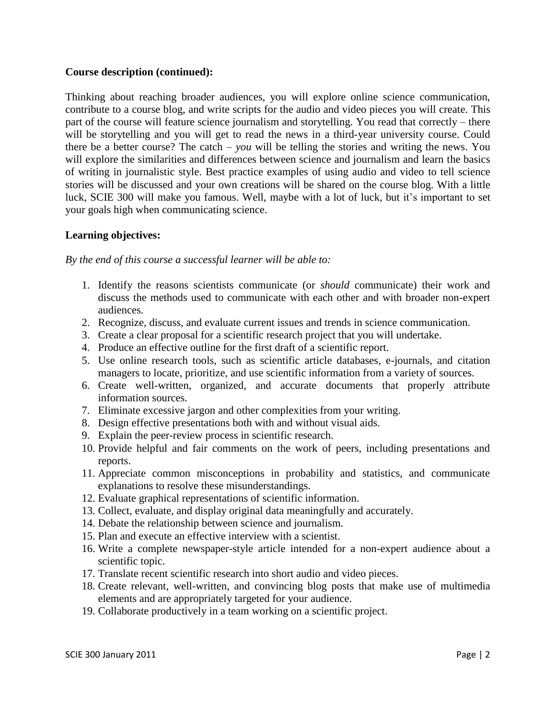#### **Course description (continued):**

Thinking about reaching broader audiences, you will explore online science communication, contribute to a course blog, and write scripts for the audio and video pieces you will create. This part of the course will feature science journalism and storytelling. You read that correctly – there will be storytelling and you will get to read the news in a third-year university course. Could there be a better course? The catch – *you* will be telling the stories and writing the news. You will explore the similarities and differences between science and journalism and learn the basics of writing in journalistic style. Best practice examples of using audio and video to tell science stories will be discussed and your own creations will be shared on the course blog. With a little luck, SCIE 300 will make you famous. Well, maybe with a lot of luck, but it's important to set your goals high when communicating science.

### **Learning objectives:**

*By the end of this course a successful learner will be able to:*

- 1. Identify the reasons scientists communicate (or *should* communicate) their work and discuss the methods used to communicate with each other and with broader non-expert audiences.
- 2. Recognize, discuss, and evaluate current issues and trends in science communication.
- 3. Create a clear proposal for a scientific research project that you will undertake.
- 4. Produce an effective outline for the first draft of a scientific report.
- 5. Use online research tools, such as scientific article databases, e-journals, and citation managers to locate, prioritize, and use scientific information from a variety of sources.
- 6. Create well-written, organized, and accurate documents that properly attribute information sources.
- 7. Eliminate excessive jargon and other complexities from your writing.
- 8. Design effective presentations both with and without visual aids.
- 9. Explain the peer-review process in scientific research.
- 10. Provide helpful and fair comments on the work of peers, including presentations and reports.
- 11. Appreciate common misconceptions in probability and statistics, and communicate explanations to resolve these misunderstandings.
- 12. Evaluate graphical representations of scientific information.
- 13. Collect, evaluate, and display original data meaningfully and accurately.
- 14. Debate the relationship between science and journalism.
- 15. Plan and execute an effective interview with a scientist.
- 16. Write a complete newspaper-style article intended for a non-expert audience about a scientific topic.
- 17. Translate recent scientific research into short audio and video pieces.
- 18. Create relevant, well-written, and convincing blog posts that make use of multimedia elements and are appropriately targeted for your audience.
- 19. Collaborate productively in a team working on a scientific project.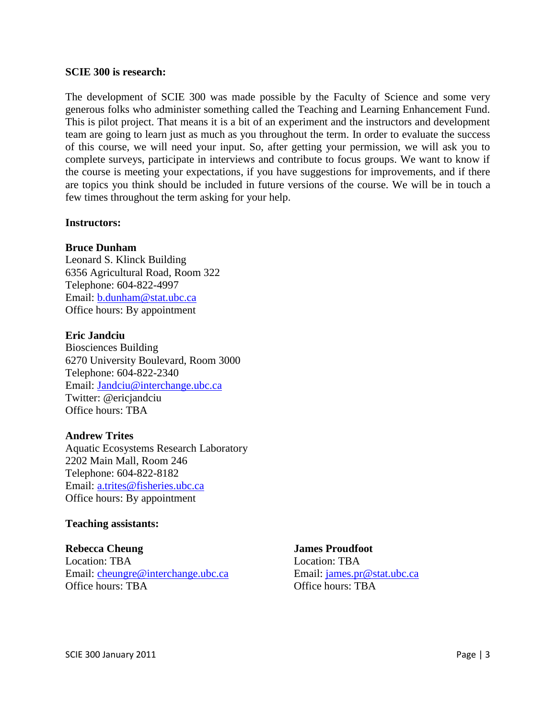#### **SCIE 300 is research:**

The development of SCIE 300 was made possible by the Faculty of Science and some very generous folks who administer something called the Teaching and Learning Enhancement Fund. This is pilot project. That means it is a bit of an experiment and the instructors and development team are going to learn just as much as you throughout the term. In order to evaluate the success of this course, we will need your input. So, after getting your permission, we will ask you to complete surveys, participate in interviews and contribute to focus groups. We want to know if the course is meeting your expectations, if you have suggestions for improvements, and if there are topics you think should be included in future versions of the course. We will be in touch a few times throughout the term asking for your help.

#### **Instructors:**

#### **Bruce Dunham**

Leonard S. Klinck Building 6356 Agricultural Road, Room 322 Telephone: 604-822-4997 Email: [b.dunham@stat.ubc.ca](mailto:b.dunham@stat.ubc.ca) Office hours: By appointment

#### **Eric Jandciu**

Biosciences Building 6270 University Boulevard, Room 3000 Telephone: 604-822-2340 Email: [Jandciu@interchange.ubc.ca](mailto:Jandciu@interchange.ubc.ca) Twitter: @ericjandciu Office hours: TBA

#### **Andrew Trites**

Aquatic Ecosystems Research Laboratory 2202 Main Mall, Room 246 Telephone: 604-822-8182 Email: [a.trites@fisheries.ubc.ca](mailto:a.trites@fisheries.ubc.ca) Office hours: By appointment

#### **Teaching assistants:**

#### **Rebecca Cheung**

Location: TBA Email: [cheungre@interchange.ubc.ca](mailto:cheungre@interchange.ubc.ca) Office hours: TBA

**James Proudfoot** Location: TBA Email: [james.pr@stat.ubc.ca](mailto:james.pr@stat.ubc.ca) Office hours: TBA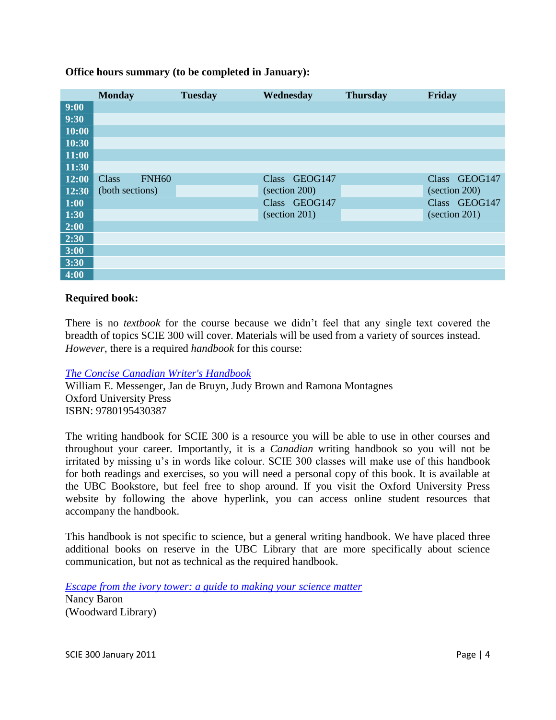#### **Office hours summary (to be completed in January):**

|       | <b>Monday</b>         | <b>Tuesday</b> | Wednesday                            | <b>Thursday</b> | Friday                |
|-------|-----------------------|----------------|--------------------------------------|-----------------|-----------------------|
| 9:00  |                       |                |                                      |                 |                       |
| 9:30  |                       |                |                                      |                 |                       |
| 10:00 |                       |                |                                      |                 |                       |
| 10:30 |                       |                |                                      |                 |                       |
| 11:00 |                       |                |                                      |                 |                       |
| 11:30 |                       |                |                                      |                 |                       |
| 12:00 | Class<br><b>FNH60</b> |                | Class GEOG147                        |                 | Class GEOG147         |
| 12:30 | (both sections)       |                | (section 200)                        |                 | (section 200)         |
| 1:00  |                       |                | Class GEOG147                        |                 | Class GEOG147         |
| 1:30  |                       |                | $\left( \text{section } 201 \right)$ |                 | $\left($ section 201) |
| 2:00  |                       |                |                                      |                 |                       |
| 2:30  |                       |                |                                      |                 |                       |
| 3:00  |                       |                |                                      |                 |                       |
| 3:30  |                       |                |                                      |                 |                       |
| 4:00  |                       |                |                                      |                 |                       |

#### **Required book:**

There is no *textbook* for the course because we didn't feel that any single text covered the breadth of topics SCIE 300 will cover. Materials will be used from a variety of sources instead. *However*, there is a required *handbook* for this course:

*[The Concise Canadian Writer's Handbook](http://www.oupcanada.com/higher_education/companion/literature/9780195430387.html)*

William E. Messenger, Jan de Bruyn, Judy Brown and Ramona Montagnes Oxford University Press ISBN: 9780195430387

The writing handbook for SCIE 300 is a resource you will be able to use in other courses and throughout your career. Importantly, it is a *Canadian* writing handbook so you will not be irritated by missing u's in words like colour. SCIE 300 classes will make use of this handbook for both readings and exercises, so you will need a personal copy of this book. It is available at the UBC Bookstore, but feel free to shop around. If you visit the Oxford University Press website by following the above hyperlink, you can access online student resources that accompany the handbook.

This handbook is not specific to science, but a general writing handbook. We have placed three additional books on reserve in the UBC Library that are more specifically about science communication, but not as technical as the required handbook.

*[Escape from the ivory tower: a guide to making your science matter](http://resolve.library.ubc.ca/cgi-bin/catsearch?bid=4345046)* Nancy Baron (Woodward Library)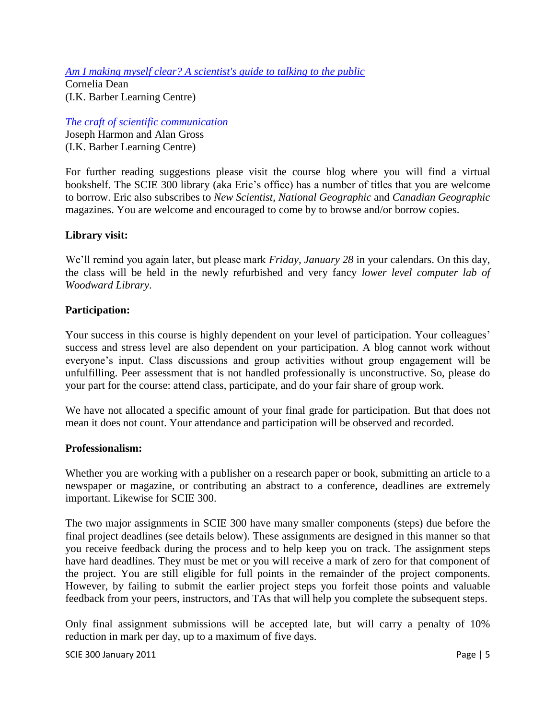*[Am I making myself clear? A scientist's guide to talking to the public](http://resolve.library.ubc.ca/cgi-bin/catsearch?bid=4118369)*

Cornelia Dean (I.K. Barber Learning Centre)

*[The craft of scientific communication](http://webcat1.library.ubc.ca/vwebv/holdingsInfo?bibId=4417972)*

Joseph Harmon and Alan Gross (I.K. Barber Learning Centre)

For further reading suggestions please visit the course blog where you will find a virtual bookshelf. The SCIE 300 library (aka Eric's office) has a number of titles that you are welcome to borrow. Eric also subscribes to *New Scientist*, *National Geographic* and *Canadian Geographic* magazines. You are welcome and encouraged to come by to browse and/or borrow copies.

## **Library visit:**

We'll remind you again later, but please mark *Friday, January 28* in your calendars. On this day, the class will be held in the newly refurbished and very fancy *lower level computer lab of Woodward Library*.

## **Participation:**

Your success in this course is highly dependent on your level of participation. Your colleagues' success and stress level are also dependent on your participation. A blog cannot work without everyone's input. Class discussions and group activities without group engagement will be unfulfilling. Peer assessment that is not handled professionally is unconstructive. So, please do your part for the course: attend class, participate, and do your fair share of group work.

We have not allocated a specific amount of your final grade for participation. But that does not mean it does not count. Your attendance and participation will be observed and recorded.

### **Professionalism:**

Whether you are working with a publisher on a research paper or book, submitting an article to a newspaper or magazine, or contributing an abstract to a conference, deadlines are extremely important. Likewise for SCIE 300.

The two major assignments in SCIE 300 have many smaller components (steps) due before the final project deadlines (see details below). These assignments are designed in this manner so that you receive feedback during the process and to help keep you on track. The assignment steps have hard deadlines. They must be met or you will receive a mark of zero for that component of the project. You are still eligible for full points in the remainder of the project components. However, by failing to submit the earlier project steps you forfeit those points and valuable feedback from your peers, instructors, and TAs that will help you complete the subsequent steps.

Only final assignment submissions will be accepted late, but will carry a penalty of 10% reduction in mark per day, up to a maximum of five days.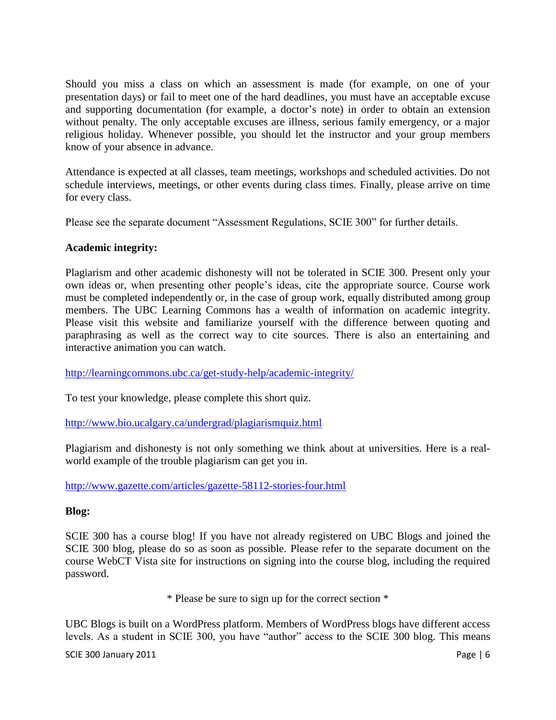Should you miss a class on which an assessment is made (for example, on one of your presentation days) or fail to meet one of the hard deadlines, you must have an acceptable excuse and supporting documentation (for example, a doctor's note) in order to obtain an extension without penalty. The only acceptable excuses are illness, serious family emergency, or a major religious holiday. Whenever possible, you should let the instructor and your group members know of your absence in advance.

Attendance is expected at all classes, team meetings, workshops and scheduled activities. Do not schedule interviews, meetings, or other events during class times. Finally, please arrive on time for every class.

Please see the separate document "Assessment Regulations, SCIE 300" for further details.

## **Academic integrity:**

Plagiarism and other academic dishonesty will not be tolerated in SCIE 300. Present only your own ideas or, when presenting other people's ideas, cite the appropriate source. Course work must be completed independently or, in the case of group work, equally distributed among group members. The UBC Learning Commons has a wealth of information on academic integrity. Please visit this website and familiarize yourself with the difference between quoting and paraphrasing as well as the correct way to cite sources. There is also an entertaining and interactive animation you can watch.

<http://learningcommons.ubc.ca/get-study-help/academic-integrity/>

To test your knowledge, please complete this short quiz.

<http://www.bio.ucalgary.ca/undergrad/plagiarismquiz.html>

Plagiarism and dishonesty is not only something we think about at universities. Here is a realworld example of the trouble plagiarism can get you in.

<http://www.gazette.com/articles/gazette-58112-stories-four.html>

### **Blog:**

SCIE 300 has a course blog! If you have not already registered on UBC Blogs and joined the SCIE 300 blog, please do so as soon as possible. Please refer to the separate document on the course WebCT Vista site for instructions on signing into the course blog, including the required password.

\* Please be sure to sign up for the correct section \*

UBC Blogs is built on a WordPress platform. Members of WordPress blogs have different access levels. As a student in SCIE 300, you have "author" access to the SCIE 300 blog. This means

SCIE 300 January 2011 **Page | 6**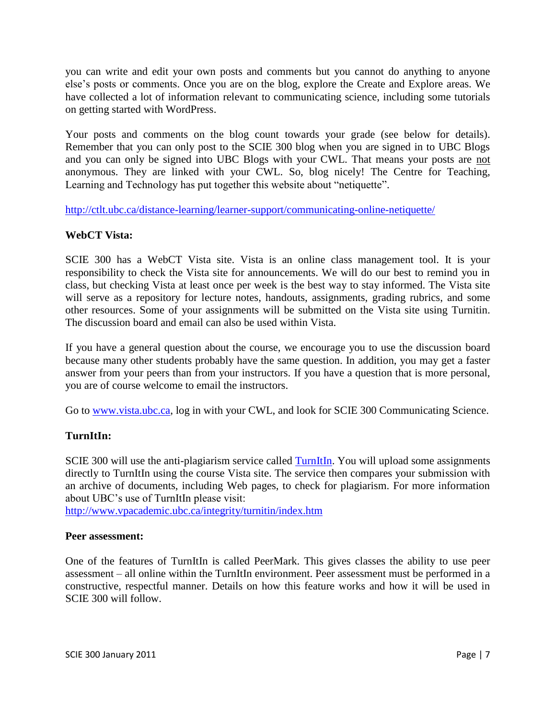you can write and edit your own posts and comments but you cannot do anything to anyone else's posts or comments. Once you are on the blog, explore the Create and Explore areas. We have collected a lot of information relevant to communicating science, including some tutorials on getting started with WordPress.

Your posts and comments on the blog count towards your grade (see below for details). Remember that you can only post to the SCIE 300 blog when you are signed in to UBC Blogs and you can only be signed into UBC Blogs with your CWL. That means your posts are not anonymous. They are linked with your CWL. So, blog nicely! The Centre for Teaching, Learning and Technology has put together this website about "netiquette".

<http://ctlt.ubc.ca/distance-learning/learner-support/communicating-online-netiquette/>

## **WebCT Vista:**

SCIE 300 has a WebCT Vista site. Vista is an online class management tool. It is your responsibility to check the Vista site for announcements. We will do our best to remind you in class, but checking Vista at least once per week is the best way to stay informed. The Vista site will serve as a repository for lecture notes, handouts, assignments, grading rubrics, and some other resources. Some of your assignments will be submitted on the Vista site using Turnitin. The discussion board and email can also be used within Vista.

If you have a general question about the course, we encourage you to use the discussion board because many other students probably have the same question. In addition, you may get a faster answer from your peers than from your instructors. If you have a question that is more personal, you are of course welcome to email the instructors.

Go to [www.vista.ubc.ca,](http://www.vista.ubc.ca/) log in with your CWL, and look for SCIE 300 Communicating Science.

## **TurnItIn:**

SCIE 300 will use the anti-plagiarism service called [TurnItIn.](http://www.turnitin.com/) You will upload some assignments directly to TurnItIn using the course Vista site. The service then compares your submission with an archive of documents, including Web pages, to check for plagiarism. For more information about UBC's use of TurnItIn please visit:

<http://www.vpacademic.ubc.ca/integrity/turnitin/index.htm>

### **Peer assessment:**

One of the features of TurnItIn is called PeerMark. This gives classes the ability to use peer assessment – all online within the TurnItIn environment. Peer assessment must be performed in a constructive, respectful manner. Details on how this feature works and how it will be used in SCIE 300 will follow.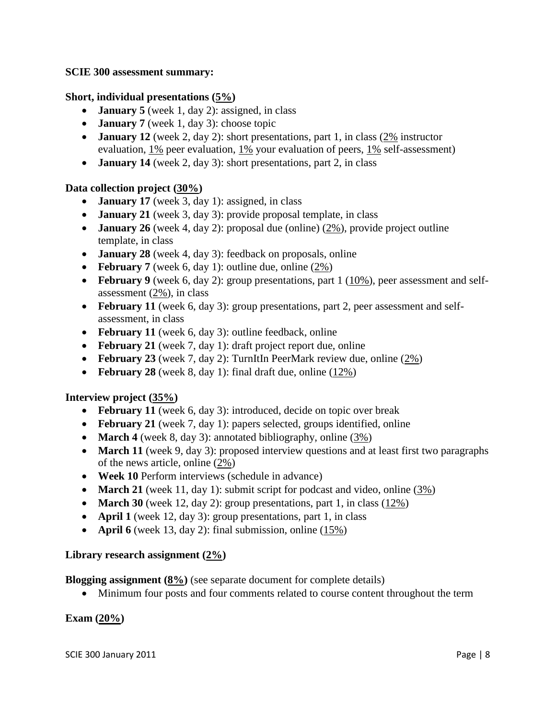#### **SCIE 300 assessment summary:**

### **Short, individual presentations (5%)**

- **January 5** (week 1, day 2): assigned, in class
- **January 7** (week 1, day 3): choose topic
- **January 12** (week 2, day 2): short presentations, part 1, in class (2% instructor evaluation, 1% peer evaluation, 1% your evaluation of peers, 1% self-assessment)
- **January 14** (week 2, day 3): short presentations, part 2, in class

### **Data collection project (30%)**

- **January 17** (week 3, day 1): assigned, in class
- **January 21** (week 3, day 3): provide proposal template, in class
- **January 26** (week 4, day 2): proposal due (online) (2%), provide project outline template, in class
- **January 28** (week 4, day 3): feedback on proposals, online
- **February 7** (week 6, day 1): outline due, online (2%)
- **February 9** (week 6, day 2): group presentations, part 1 (10%), peer assessment and selfassessment (2%), in class
- **February 11** (week 6, day 3): group presentations, part 2, peer assessment and selfassessment, in class
- February 11 (week 6, day 3): outline feedback, online
- **February 21** (week 7, day 1): draft project report due, online
- **February 23** (week 7, day 2): TurnItIn PeerMark review due, online (2%)
- **February 28** (week 8, day 1): final draft due, online (12%)

### **Interview project (35%)**

- **February 11** (week 6, day 3): introduced, decide on topic over break
- **February 21** (week 7, day 1): papers selected, groups identified, online
- **March 4** (week 8, day 3): annotated bibliography, online (3%)
- March 11 (week 9, day 3): proposed interview questions and at least first two paragraphs of the news article, online (2%)
- **Week 10** Perform interviews (schedule in advance)
- **March 21** (week 11, day 1): submit script for podcast and video, online (3%)
- **March 30** (week 12, day 2): group presentations, part 1, in class  $(12\%)$
- **April 1** (week 12, day 3): group presentations, part 1, in class
- **April 6** (week 13, day 2): final submission, online (15%)

### **Library research assignment (2%)**

**Blogging assignment (8%)** (see separate document for complete details)

Minimum four posts and four comments related to course content throughout the term

### **Exam (20%)**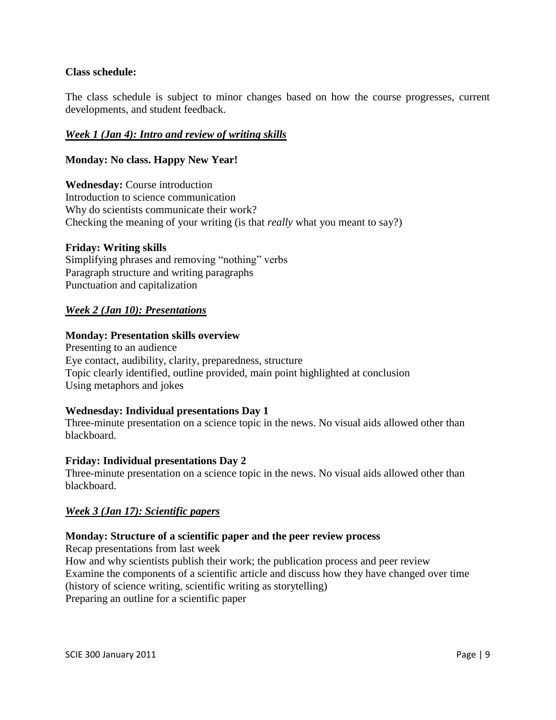### **Class schedule:**

The class schedule is subject to minor changes based on how the course progresses, current developments, and student feedback.

### *Week 1 (Jan 4): Intro and review of writing skills*

#### **Monday: No class. Happy New Year!**

**Wednesday:** Course introduction Introduction to science communication Why do scientists communicate their work? Checking the meaning of your writing (is that *really* what you meant to say?)

#### **Friday: Writing skills**

Simplifying phrases and removing "nothing" verbs Paragraph structure and writing paragraphs Punctuation and capitalization

#### *Week 2 (Jan 10): Presentations*

#### **Monday: Presentation skills overview**

Presenting to an audience Eye contact, audibility, clarity, preparedness, structure Topic clearly identified, outline provided, main point highlighted at conclusion Using metaphors and jokes

#### **Wednesday: Individual presentations Day 1**

Three-minute presentation on a science topic in the news. No visual aids allowed other than blackboard.

#### **Friday: Individual presentations Day 2**

Three-minute presentation on a science topic in the news. No visual aids allowed other than blackboard.

### *Week 3 (Jan 17): Scientific papers*

#### **Monday: Structure of a scientific paper and the peer review process**

Recap presentations from last week How and why scientists publish their work; the publication process and peer review Examine the components of a scientific article and discuss how they have changed over time (history of science writing, scientific writing as storytelling) Preparing an outline for a scientific paper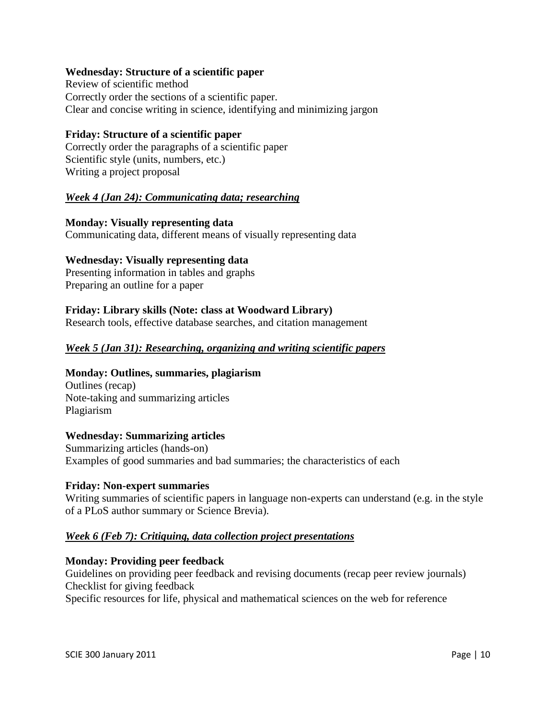#### **Wednesday: Structure of a scientific paper**

Review of scientific method Correctly order the sections of a scientific paper. Clear and concise writing in science, identifying and minimizing jargon

#### **Friday: Structure of a scientific paper**

Correctly order the paragraphs of a scientific paper Scientific style (units, numbers, etc.) Writing a project proposal

### *Week 4 (Jan 24): Communicating data; researching*

**Monday: Visually representing data** Communicating data, different means of visually representing data

#### **Wednesday: Visually representing data**

Presenting information in tables and graphs Preparing an outline for a paper

#### **Friday: Library skills (Note: class at Woodward Library)**

Research tools, effective database searches, and citation management

#### *Week 5 (Jan 31): Researching, organizing and writing scientific papers*

#### **Monday: Outlines, summaries, plagiarism**

Outlines (recap) Note-taking and summarizing articles Plagiarism

#### **Wednesday: Summarizing articles**

Summarizing articles (hands-on) Examples of good summaries and bad summaries; the characteristics of each

#### **Friday: Non-expert summaries**

Writing summaries of scientific papers in language non-experts can understand (e.g. in the style of a PLoS author summary or Science Brevia).

#### *Week 6 (Feb 7): Critiquing, data collection project presentations*

#### **Monday: Providing peer feedback**

Guidelines on providing peer feedback and revising documents (recap peer review journals) Checklist for giving feedback Specific resources for life, physical and mathematical sciences on the web for reference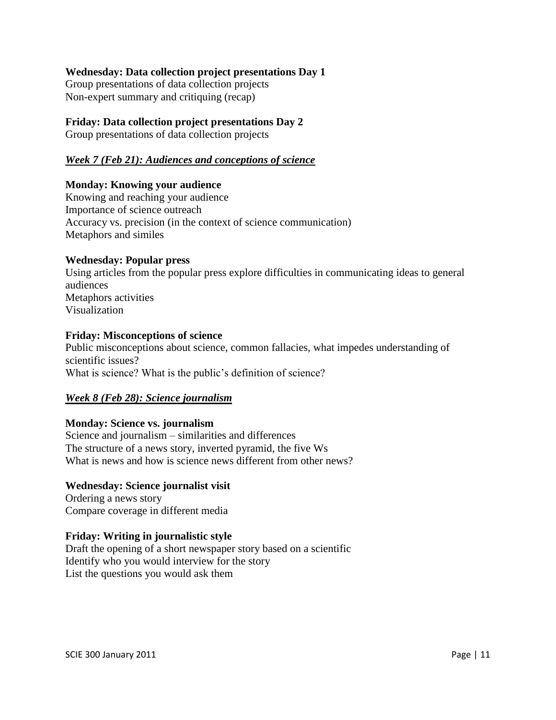## **Wednesday: Data collection project presentations Day 1**

Group presentations of data collection projects Non-expert summary and critiquing (recap)

### **Friday: Data collection project presentations Day 2**

Group presentations of data collection projects

## *Week 7 (Feb 21): Audiences and conceptions of science*

### **Monday: Knowing your audience**

Knowing and reaching your audience Importance of science outreach Accuracy vs. precision (in the context of science communication) Metaphors and similes

### **Wednesday: Popular press**

Using articles from the popular press explore difficulties in communicating ideas to general audiences Metaphors activities Visualization

#### **Friday: Misconceptions of science**

Public misconceptions about science, common fallacies, what impedes understanding of scientific issues? What is science? What is the public's definition of science?

### *Week 8 (Feb 28): Science journalism*

### **Monday: Science vs. journalism**

Science and journalism – similarities and differences The structure of a news story, inverted pyramid, the five Ws What is news and how is science news different from other news?

### **Wednesday: Science journalist visit**

Ordering a news story Compare coverage in different media

#### **Friday: Writing in journalistic style**

Draft the opening of a short newspaper story based on a scientific Identify who you would interview for the story List the questions you would ask them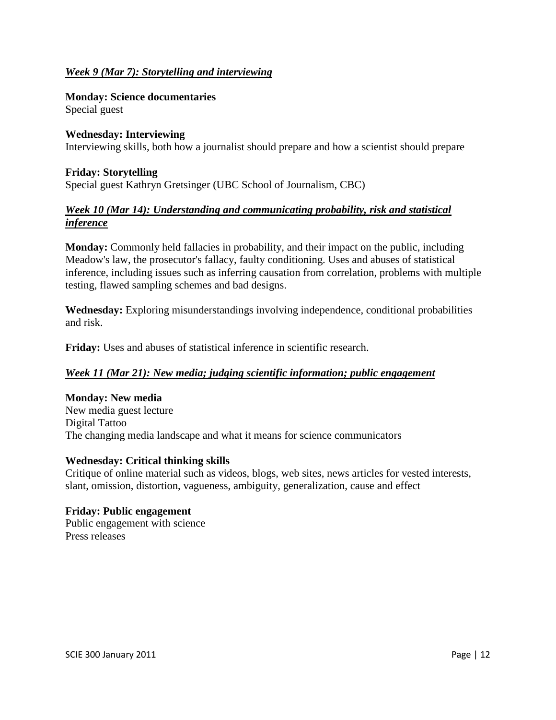## *Week 9 (Mar 7): Storytelling and interviewing*

**Monday: Science documentaries** Special guest

**Wednesday: Interviewing** Interviewing skills, both how a journalist should prepare and how a scientist should prepare

## **Friday: Storytelling** Special guest Kathryn Gretsinger (UBC School of Journalism, CBC)

## *Week 10 (Mar 14): Understanding and communicating probability, risk and statistical inference*

**Monday:** Commonly held fallacies in probability, and their impact on the public, including Meadow's law, the prosecutor's fallacy, faulty conditioning. Uses and abuses of statistical inference, including issues such as inferring causation from correlation, problems with multiple testing, flawed sampling schemes and bad designs.

**Wednesday:** Exploring misunderstandings involving independence, conditional probabilities and risk.

**Friday:** Uses and abuses of statistical inference in scientific research.

### *Week 11 (Mar 21): New media; judging scientific information; public engagement*

### **Monday: New media**

New media guest lecture Digital Tattoo The changing media landscape and what it means for science communicators

### **Wednesday: Critical thinking skills**

Critique of online material such as videos, blogs, web sites, news articles for vested interests, slant, omission, distortion, vagueness, ambiguity, generalization, cause and effect

#### **Friday: Public engagement** Public engagement with science Press releases